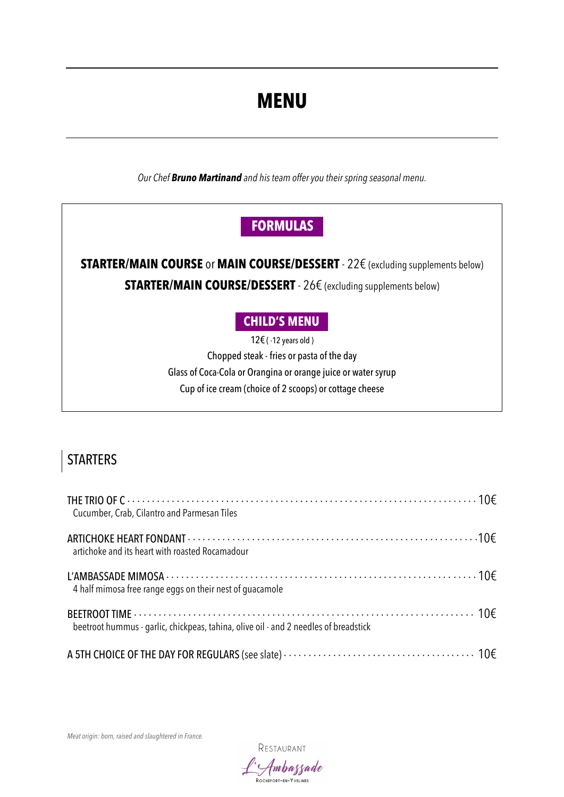# **MENU**

*Our Chef Bruno Martinand and his team offer you their spring seasonal menu.*

## **FORMULAS .**

### **STARTER/MAIN COURSE** or **MAIN COURSE/DESSERT** - 22€ (excluding supplements below) **STARTER/MAIN COURSE/DESSERT** - 26€ (excluding supplements below)

#### **CHILD'S MENU .**

12€ ( -12 years old ) Chopped steak - fries or pasta of the day Glass of Coca-Cola or Orangina or orange juice or water syrup Cup of ice cream (choice of 2 scoops) or cottage cheese

## **STARTERS**

| Cucumber, Crab, Cilantro and Parmesan Tiles                                          |  |
|--------------------------------------------------------------------------------------|--|
| artichoke and its heart with roasted Rocamadour                                      |  |
| 4 half mimosa free range eggs on their nest of guacamole                             |  |
| beetroot hummus - garlic, chickpeas, tahina, olive oil - and 2 needles of breadstick |  |
|                                                                                      |  |

*Meat origin: born, raised and slaughtered in France.*

RESTAURANT

Ambassade ROCHEFORT-EN-YVELINES